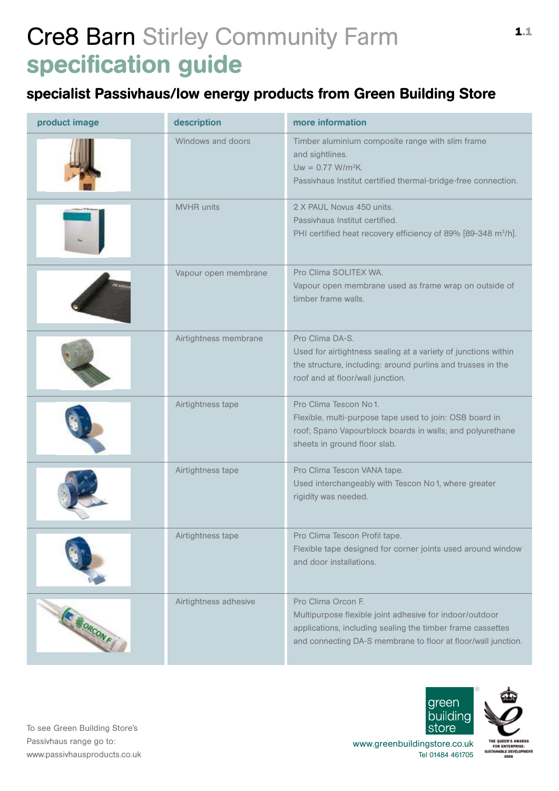# Cre8 Barn Stirley Community Farm specification guide

### specialist Passivhaus/low energy products from Green Building Store

| product image | description           | more information                                                                                                                                                                                             |
|---------------|-----------------------|--------------------------------------------------------------------------------------------------------------------------------------------------------------------------------------------------------------|
|               | Windows and doors     | Timber aluminium composite range with slim frame<br>and sightlines.<br>Uw = $0.77$ W/m <sup>2</sup> K.<br>Passivhaus Institut certified thermal-bridge-free connection.                                      |
|               | <b>MVHR</b> units     | 2 X PAUL Novus 450 units.<br>Passivhaus Institut certified.<br>PHI certified heat recovery efficiency of 89% [89-348 m <sup>3</sup> /h].                                                                     |
|               | Vapour open membrane  | Pro Clima SOLITEX WA.<br>Vapour open membrane used as frame wrap on outside of<br>timber frame walls.                                                                                                        |
|               | Airtightness membrane | Pro Clima DA-S.<br>Used for airtightness sealing at a variety of junctions within<br>the structure, including: around purlins and trusses in the<br>roof and at floor/wall junction.                         |
|               | Airtightness tape     | Pro Clima Tescon No 1.<br>Flexible, multi-purpose tape used to join: OSB board in<br>roof; Spano Vapourblock boards in walls; and polyurethane<br>sheets in ground floor slab.                               |
|               | Airtightness tape     | Pro Clima Tescon VANA tape.<br>Used interchangeably with Tescon No 1, where greater<br>rigidity was needed.                                                                                                  |
|               | Airtightness tape     | Pro Clima Tescon Profil tape.<br>Flexible tape designed for corner joints used around window<br>and door installations.                                                                                      |
| E MORCONFI    | Airtightness adhesive | Pro Clima Orcon F.<br>Multipurpose flexible joint adhesive for indoor/outdoor<br>applications, including sealing the timber frame cassettes<br>and connecting DA-S membrane to floor at floor/wall junction. |

To see Green Building Store's Passivhaus range go to: www.passivhausproducts.co.uk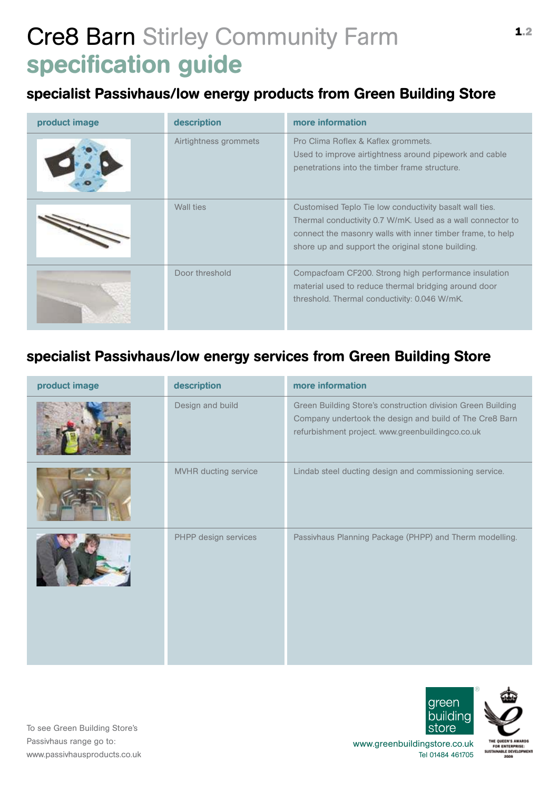# Cre8 Barn Stirley Community Farm specification guide

#### specialist Passivhaus/low energy products from Green Building Store

| product image | description           | more information                                                                                                                                                                                                                         |
|---------------|-----------------------|------------------------------------------------------------------------------------------------------------------------------------------------------------------------------------------------------------------------------------------|
|               | Airtightness grommets | Pro Clima Roflex & Kaflex grommets.<br>Used to improve airtightness around pipework and cable<br>penetrations into the timber frame structure.                                                                                           |
|               | Wall ties             | Customised Teplo Tie low conductivity basalt wall ties.<br>Thermal conductivity 0.7 W/mK. Used as a wall connector to<br>connect the masonry walls with inner timber frame, to help<br>shore up and support the original stone building. |
|               | Door threshold        | Compacfoam CF200. Strong high performance insulation<br>material used to reduce thermal bridging around door<br>threshold. Thermal conductivity: 0.046 W/mK.                                                                             |

### specialist Passivhaus/low energy services from Green Building Store

| product image | description          | more information                                                                                                                                                           |
|---------------|----------------------|----------------------------------------------------------------------------------------------------------------------------------------------------------------------------|
|               | Design and build     | Green Building Store's construction division Green Building<br>Company undertook the design and build of The Cre8 Barn<br>refurbishment project. www.greenbuildingco.co.uk |
|               | MVHR ducting service | Lindab steel ducting design and commissioning service.                                                                                                                     |
|               | PHPP design services | Passivhaus Planning Package (PHPP) and Therm modelling.                                                                                                                    |



areer huildinc ®